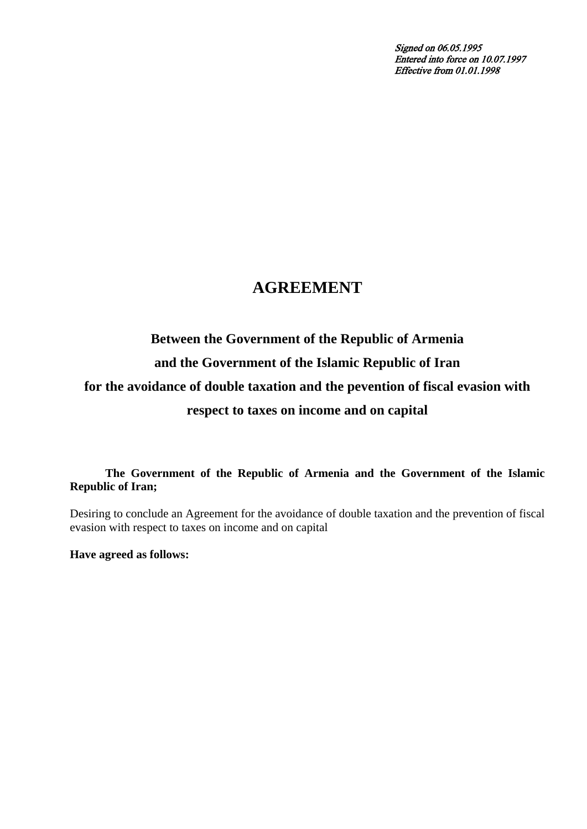Signed on 06.05.1995 Entered into force on 10.07.1997 Effective from 01.01.1998

# **AGREEMENT**

# **Between the Government of the Republic of Armenia and the Government of the Islamic Republic of Iran for the avoidance of double taxation and the pevention of fiscal evasion with respect to taxes on income and on capital**

**The Government of the Republic of Armenia and the Government of the Islamic Republic of Iran;** 

Desiring to conclude an Agreement for the avoidance of double taxation and the prevention of fiscal evasion with respect to taxes on income and on capital

**Have agreed as follows:**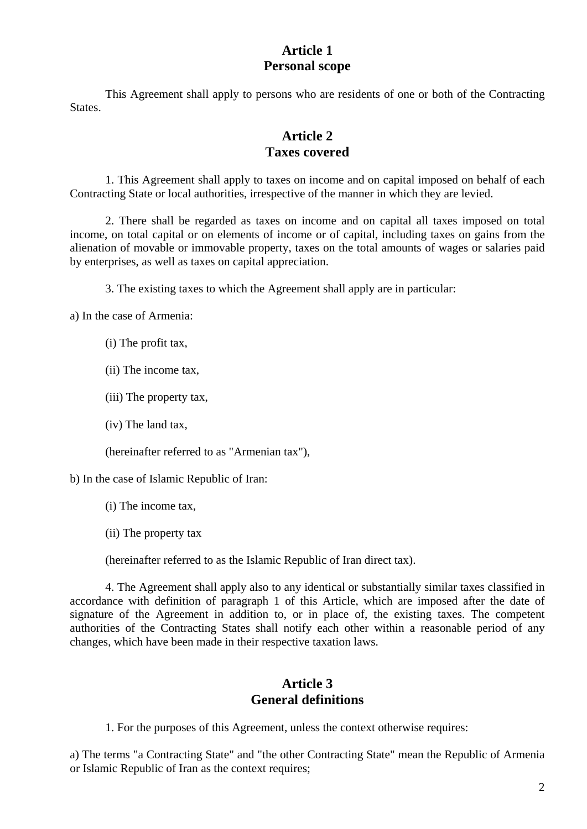# **Article 1 Personal scope**

This Agreement shall apply to persons who are residents of one or both of the Contracting States.

# **Article 2 Taxes covered**

1. This Agreement shall apply to taxes on income and on capital imposed on behalf of each Contracting State or local authorities, irrespective of the manner in which they are levied.

2. There shall be regarded as taxes on income and on capital all taxes imposed on total income, on total capital or on elements of income or of capital, including taxes on gains from the alienation of movable or immovable property, taxes on the total amounts of wages or salaries paid by enterprises, as well as taxes on capital appreciation.

3. The existing taxes to which the Agreement shall apply are in particular:

a) In the case of Armenia:

- (i) The profit tax,
- (ii) The income tax,
- (iii) The property tax,
- (iv) The land tax,

(hereinafter referred to as "Armenian tax"),

b) In the case of Islamic Republic of Iran:

- (i) The income tax,
- (ii) The property tax

(hereinafter referred to as the Islamic Republic of Iran direct tax).

4. The Agreement shall apply also to any identical or substantially similar taxes classified in accordance with definition of paragraph 1 of this Article, which are imposed after the date of signature of the Agreement in addition to, or in place of, the existing taxes. The competent authorities of the Contracting States shall notify each other within a reasonable period of any changes, which have been made in their respective taxation laws.

# **Article 3 General definitions**

1. For the purposes of this Agreement, unless the context otherwise requires:

a) The terms "a Contracting State" and "the other Contracting State" mean the Republic of Armenia or Islamic Republic of Iran as the context requires;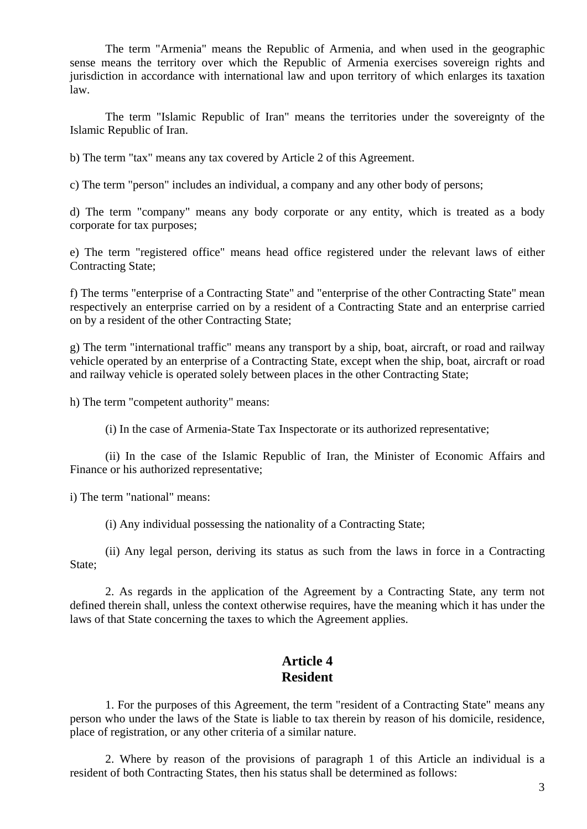The term "Armenia" means the Republic of Armenia, and when used in the geographic sense means the territory over which the Republic of Armenia exercises sovereign rights and jurisdiction in accordance with international law and upon territory of which enlarges its taxation law.

The term "Islamic Republic of Iran" means the territories under the sovereignty of the Islamic Republic of Iran.

b) The term "tax" means any tax covered by Article 2 of this Agreement.

c) The term "person" includes an individual, a company and any other body of persons;

d) The term "company" means any body corporate or any entity, which is treated as a body corporate for tax purposes;

e) The term "registered office" means head office registered under the relevant laws of either Contracting State;

f) The terms "enterprise of a Contracting State" and "enterprise of the other Contracting State" mean respectively an enterprise carried on by a resident of a Contracting State and an enterprise carried on by a resident of the other Contracting State;

g) The term "international traffic" means any transport by a ship, boat, aircraft, or road and railway vehicle operated by an enterprise of a Contracting State, except when the ship, boat, aircraft or road and railway vehicle is operated solely between places in the other Contracting State;

h) The term "competent authority" means:

(i) In the case of Armenia-State Tax Inspectorate or its authorized representative;

(ii) In the case of the Islamic Republic of Iran, the Minister of Economic Affairs and Finance or his authorized representative;

i) The term "national" means:

(i) Any individual possessing the nationality of a Contracting State;

(ii) Any legal person, deriving its status as such from the laws in force in a Contracting State;

2. As regards in the application of the Agreement by a Contracting State, any term not defined therein shall, unless the context otherwise requires, have the meaning which it has under the laws of that State concerning the taxes to which the Agreement applies.

#### **Article 4 Resident**

1. For the purposes of this Agreement, the term "resident of a Contracting State" means any person who under the laws of the State is liable to tax therein by reason of his domicile, residence, place of registration, or any other criteria of a similar nature.

2. Where by reason of the provisions of paragraph 1 of this Article an individual is a resident of both Contracting States, then his status shall be determined as follows: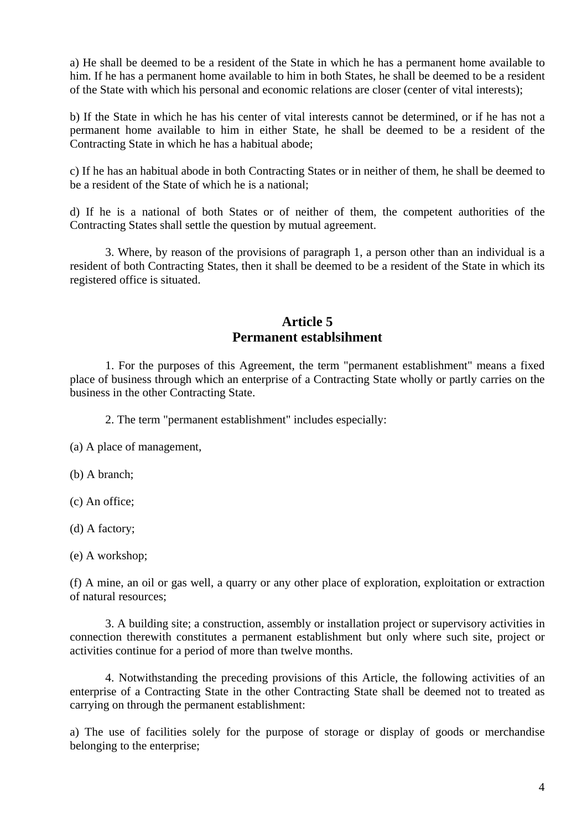a) He shall be deemed to be a resident of the State in which he has a permanent home available to him. If he has a permanent home available to him in both States, he shall be deemed to be a resident of the State with which his personal and economic relations are closer (center of vital interests);

b) If the State in which he has his center of vital interests cannot be determined, or if he has not a permanent home available to him in either State, he shall be deemed to be a resident of the Contracting State in which he has a habitual abode;

c) If he has an habitual abode in both Contracting States or in neither of them, he shall be deemed to be a resident of the State of which he is a national;

d) If he is a national of both States or of neither of them, the competent authorities of the Contracting States shall settle the question by mutual agreement.

3. Where, by reason of the provisions of paragraph 1, a person other than an individual is a resident of both Contracting States, then it shall be deemed to be a resident of the State in which its registered office is situated.

### **Article 5 Permanent establsihment**

1. For the purposes of this Agreement, the term "permanent establishment" means a fixed place of business through which an enterprise of a Contracting State wholly or partly carries on the business in the other Contracting State.

2. The term "permanent establishment" includes especially:

(a) A place of management,

(b) A branch;

(c) An office;

(d) A factory;

(e) A workshop;

(f) A mine, an oil or gas well, a quarry or any other place of exploration, exploitation or extraction of natural resources;

3. A building site; a construction, assembly or installation project or supervisory activities in connection therewith constitutes a permanent establishment but only where such site, project or activities continue for a period of more than twelve months.

4. Notwithstanding the preceding provisions of this Article, the following activities of an enterprise of a Contracting State in the other Contracting State shall be deemed not to treated as carrying on through the permanent establishment:

a) The use of facilities solely for the purpose of storage or display of goods or merchandise belonging to the enterprise;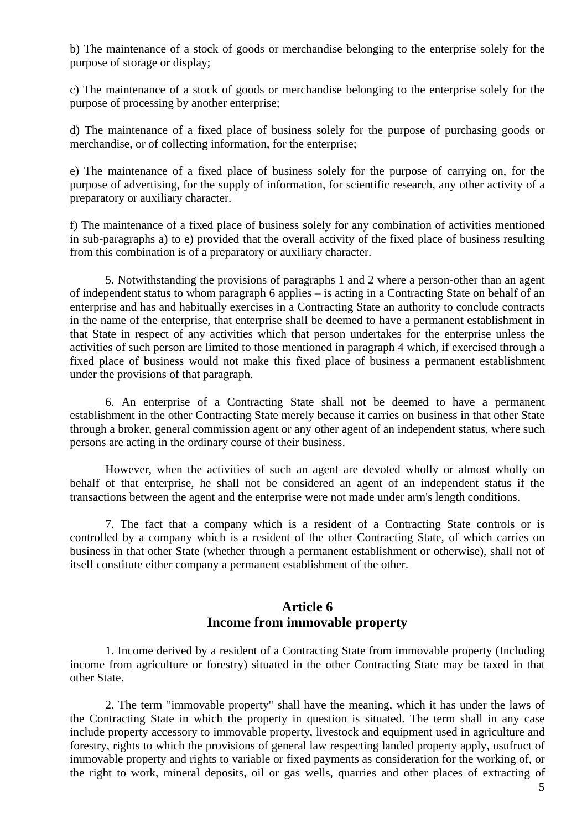b) The maintenance of a stock of goods or merchandise belonging to the enterprise solely for the purpose of storage or display;

c) The maintenance of a stock of goods or merchandise belonging to the enterprise solely for the purpose of processing by another enterprise;

d) The maintenance of a fixed place of business solely for the purpose of purchasing goods or merchandise, or of collecting information, for the enterprise;

e) The maintenance of a fixed place of business solely for the purpose of carrying on, for the purpose of advertising, for the supply of information, for scientific research, any other activity of a preparatory or auxiliary character.

f) The maintenance of a fixed place of business solely for any combination of activities mentioned in sub-paragraphs a) to e) provided that the overall activity of the fixed place of business resulting from this combination is of a preparatory or auxiliary character.

5. Notwithstanding the provisions of paragraphs 1 and 2 where a person-other than an agent of independent status to whom paragraph 6 applies – is acting in a Contracting State on behalf of an enterprise and has and habitually exercises in a Contracting State an authority to conclude contracts in the name of the enterprise, that enterprise shall be deemed to have a permanent establishment in that State in respect of any activities which that person undertakes for the enterprise unless the activities of such person are limited to those mentioned in paragraph 4 which, if exercised through a fixed place of business would not make this fixed place of business a permanent establishment under the provisions of that paragraph.

6. An enterprise of a Contracting State shall not be deemed to have a permanent establishment in the other Contracting State merely because it carries on business in that other State through a broker, general commission agent or any other agent of an independent status, where such persons are acting in the ordinary course of their business.

However, when the activities of such an agent are devoted wholly or almost wholly on behalf of that enterprise, he shall not be considered an agent of an independent status if the transactions between the agent and the enterprise were not made under arm's length conditions.

7. The fact that a company which is a resident of a Contracting State controls or is controlled by a company which is a resident of the other Contracting State, of which carries on business in that other State (whether through a permanent establishment or otherwise), shall not of itself constitute either company a permanent establishment of the other.

# **Article 6 Income from immovable property**

1. Income derived by a resident of a Contracting State from immovable property (Including income from agriculture or forestry) situated in the other Contracting State may be taxed in that other State.

2. The term "immovable property" shall have the meaning, which it has under the laws of the Contracting State in which the property in question is situated. The term shall in any case include property accessory to immovable property, livestock and equipment used in agriculture and forestry, rights to which the provisions of general law respecting landed property apply, usufruct of immovable property and rights to variable or fixed payments as consideration for the working of, or the right to work, mineral deposits, oil or gas wells, quarries and other places of extracting of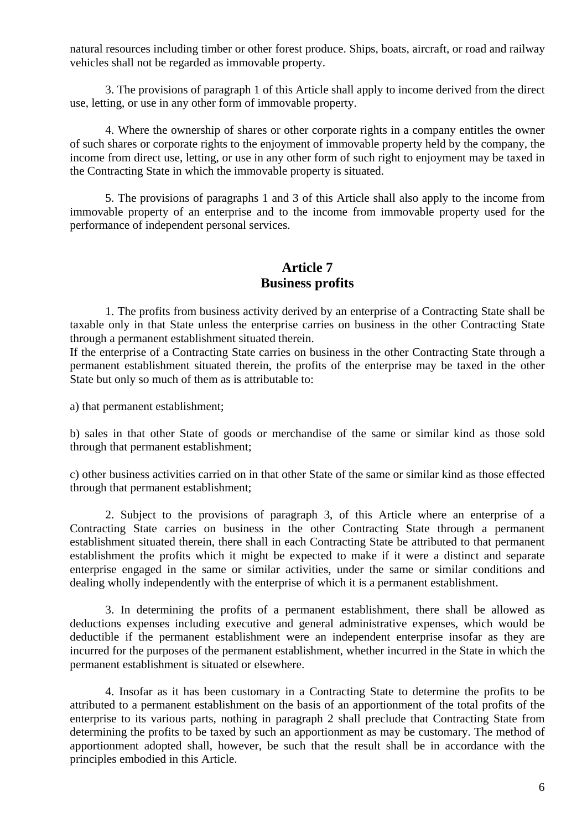natural resources including timber or other forest produce. Ships, boats, aircraft, or road and railway vehicles shall not be regarded as immovable property.

3. The provisions of paragraph 1 of this Article shall apply to income derived from the direct use, letting, or use in any other form of immovable property.

4. Where the ownership of shares or other corporate rights in a company entitles the owner of such shares or corporate rights to the enjoyment of immovable property held by the company, the income from direct use, letting, or use in any other form of such right to enjoyment may be taxed in the Contracting State in which the immovable property is situated.

5. The provisions of paragraphs 1 and 3 of this Article shall also apply to the income from immovable property of an enterprise and to the income from immovable property used for the performance of independent personal services.

# **Article 7 Business profits**

1. The profits from business activity derived by an enterprise of a Contracting State shall be taxable only in that State unless the enterprise carries on business in the other Contracting State through a permanent establishment situated therein.

If the enterprise of a Contracting State carries on business in the other Contracting State through a permanent establishment situated therein, the profits of the enterprise may be taxed in the other State but only so much of them as is attributable to:

a) that permanent establishment;

b) sales in that other State of goods or merchandise of the same or similar kind as those sold through that permanent establishment;

c) other business activities carried on in that other State of the same or similar kind as those effected through that permanent establishment;

2. Subject to the provisions of paragraph 3, of this Article where an enterprise of a Contracting State carries on business in the other Contracting State through a permanent establishment situated therein, there shall in each Contracting State be attributed to that permanent establishment the profits which it might be expected to make if it were a distinct and separate enterprise engaged in the same or similar activities, under the same or similar conditions and dealing wholly independently with the enterprise of which it is a permanent establishment.

3. In determining the profits of a permanent establishment, there shall be allowed as deductions expenses including executive and general administrative expenses, which would be deductible if the permanent establishment were an independent enterprise insofar as they are incurred for the purposes of the permanent establishment, whether incurred in the State in which the permanent establishment is situated or elsewhere.

4. Insofar as it has been customary in a Contracting State to determine the profits to be attributed to a permanent establishment on the basis of an apportionment of the total profits of the enterprise to its various parts, nothing in paragraph 2 shall preclude that Contracting State from determining the profits to be taxed by such an apportionment as may be customary. The method of apportionment adopted shall, however, be such that the result shall be in accordance with the principles embodied in this Article.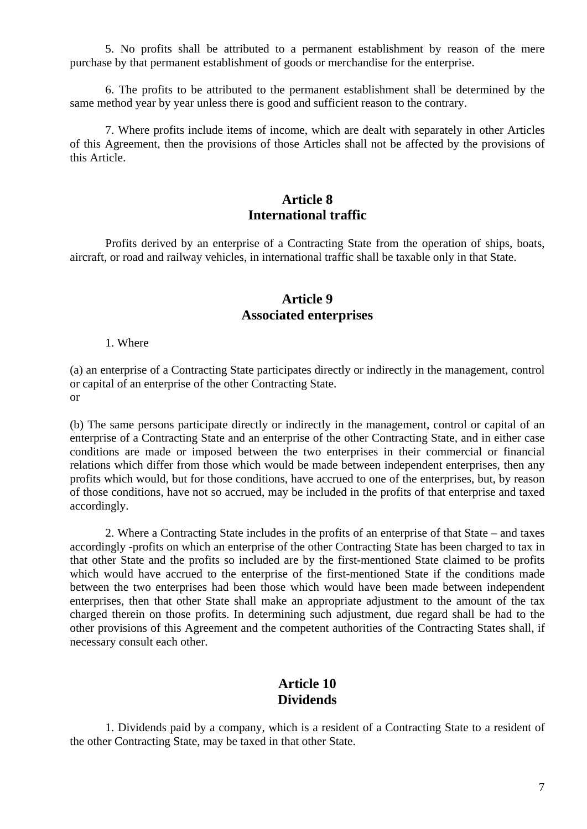5. No profits shall be attributed to a permanent establishment by reason of the mere purchase by that permanent establishment of goods or merchandise for the enterprise.

6. The profits to be attributed to the permanent establishment shall be determined by the same method year by year unless there is good and sufficient reason to the contrary.

7. Where profits include items of income, which are dealt with separately in other Articles of this Agreement, then the provisions of those Articles shall not be affected by the provisions of this Article.

# **Article 8 International traffic**

Profits derived by an enterprise of a Contracting State from the operation of ships, boats, aircraft, or road and railway vehicles, in international traffic shall be taxable only in that State.

#### **Article 9 Associated enterprises**

1. Where

(a) an enterprise of a Contracting State participates directly or indirectly in the management, control or capital of an enterprise of the other Contracting State. or

(b) The same persons participate directly or indirectly in the management, control or capital of an enterprise of a Contracting State and an enterprise of the other Contracting State, and in either case conditions are made or imposed between the two enterprises in their commercial or financial relations which differ from those which would be made between independent enterprises, then any profits which would, but for those conditions, have accrued to one of the enterprises, but, by reason of those conditions, have not so accrued, may be included in the profits of that enterprise and taxed accordingly.

2. Where a Contracting State includes in the profits of an enterprise of that State – and taxes accordingly -profits on which an enterprise of the other Contracting State has been charged to tax in that other State and the profits so included are by the first-mentioned State claimed to be profits which would have accrued to the enterprise of the first-mentioned State if the conditions made between the two enterprises had been those which would have been made between independent enterprises, then that other State shall make an appropriate adjustment to the amount of the tax charged therein on those profits. In determining such adjustment, due regard shall be had to the other provisions of this Agreement and the competent authorities of the Contracting States shall, if necessary consult each other.

#### **Article 10 Dividends**

1. Dividends paid by a company, which is a resident of a Contracting State to a resident of the other Contracting State, may be taxed in that other State.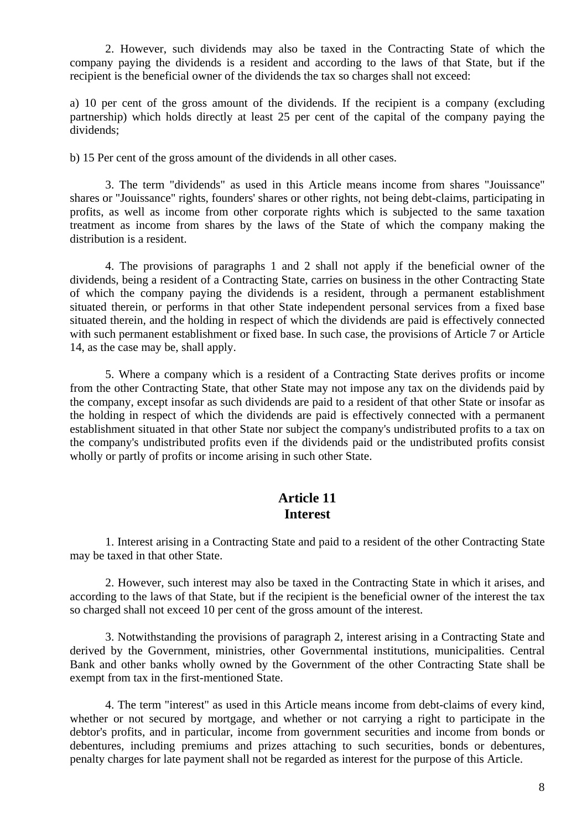2. However, such dividends may also be taxed in the Contracting State of which the company paying the dividends is a resident and according to the laws of that State, but if the recipient is the beneficial owner of the dividends the tax so charges shall not exceed:

a) 10 per cent of the gross amount of the dividends. If the recipient is a company (excluding partnership) which holds directly at least 25 per cent of the capital of the company paying the dividends;

b) 15 Per cent of the gross amount of the dividends in all other cases.

3. The term "dividends" as used in this Article means income from shares "Jouissance" shares or "Jouissance" rights, founders' shares or other rights, not being debt-claims, participating in profits, as well as income from other corporate rights which is subjected to the same taxation treatment as income from shares by the laws of the State of which the company making the distribution is a resident.

4. The provisions of paragraphs 1 and 2 shall not apply if the beneficial owner of the dividends, being a resident of a Contracting State, carries on business in the other Contracting State of which the company paying the dividends is a resident, through a permanent establishment situated therein, or performs in that other State independent personal services from a fixed base situated therein, and the holding in respect of which the dividends are paid is effectively connected with such permanent establishment or fixed base. In such case, the provisions of Article 7 or Article 14, as the case may be, shall apply.

5. Where a company which is a resident of a Contracting State derives profits or income from the other Contracting State, that other State may not impose any tax on the dividends paid by the company, except insofar as such dividends are paid to a resident of that other State or insofar as the holding in respect of which the dividends are paid is effectively connected with a permanent establishment situated in that other State nor subject the company's undistributed profits to a tax on the company's undistributed profits even if the dividends paid or the undistributed profits consist wholly or partly of profits or income arising in such other State.

### **Article 11 Interest**

1. Interest arising in a Contracting State and paid to a resident of the other Contracting State may be taxed in that other State.

2. However, such interest may also be taxed in the Contracting State in which it arises, and according to the laws of that State, but if the recipient is the beneficial owner of the interest the tax so charged shall not exceed 10 per cent of the gross amount of the interest.

3. Notwithstanding the provisions of paragraph 2, interest arising in a Contracting State and derived by the Government, ministries, other Governmental institutions, municipalities. Central Bank and other banks wholly owned by the Government of the other Contracting State shall be exempt from tax in the first-mentioned State.

4. The term "interest" as used in this Article means income from debt-claims of every kind, whether or not secured by mortgage, and whether or not carrying a right to participate in the debtor's profits, and in particular, income from government securities and income from bonds or debentures, including premiums and prizes attaching to such securities, bonds or debentures, penalty charges for late payment shall not be regarded as interest for the purpose of this Article.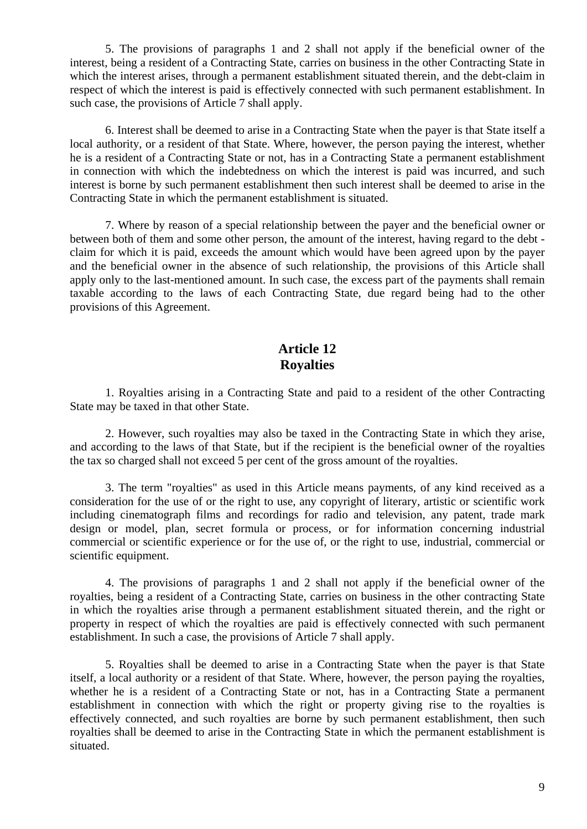5. The provisions of paragraphs 1 and 2 shall not apply if the beneficial owner of the interest, being a resident of a Contracting State, carries on business in the other Contracting State in which the interest arises, through a permanent establishment situated therein, and the debt-claim in respect of which the interest is paid is effectively connected with such permanent establishment. In such case, the provisions of Article 7 shall apply.

6. Interest shall be deemed to arise in a Contracting State when the payer is that State itself a local authority, or a resident of that State. Where, however, the person paying the interest, whether he is a resident of a Contracting State or not, has in a Contracting State a permanent establishment in connection with which the indebtedness on which the interest is paid was incurred, and such interest is borne by such permanent establishment then such interest shall be deemed to arise in the Contracting State in which the permanent establishment is situated.

7. Where by reason of a special relationship between the payer and the beneficial owner or between both of them and some other person, the amount of the interest, having regard to the debt claim for which it is paid, exceeds the amount which would have been agreed upon by the payer and the beneficial owner in the absence of such relationship, the provisions of this Article shall apply only to the last-mentioned amount. In such case, the excess part of the payments shall remain taxable according to the laws of each Contracting State, due regard being had to the other provisions of this Agreement.

# **Article 12 Royalties**

1. Royalties arising in a Contracting State and paid to a resident of the other Contracting State may be taxed in that other State.

2. However, such royalties may also be taxed in the Contracting State in which they arise, and according to the laws of that State, but if the recipient is the beneficial owner of the royalties the tax so charged shall not exceed 5 per cent of the gross amount of the royalties.

3. The term "royalties" as used in this Article means payments, of any kind received as a consideration for the use of or the right to use, any copyright of literary, artistic or scientific work including cinematograph films and recordings for radio and television, any patent, trade mark design or model, plan, secret formula or process, or for information concerning industrial commercial or scientific experience or for the use of, or the right to use, industrial, commercial or scientific equipment.

4. The provisions of paragraphs 1 and 2 shall not apply if the beneficial owner of the royalties, being a resident of a Contracting State, carries on business in the other contracting State in which the royalties arise through a permanent establishment situated therein, and the right or property in respect of which the royalties are paid is effectively connected with such permanent establishment. In such a case, the provisions of Article 7 shall apply.

5. Royalties shall be deemed to arise in a Contracting State when the payer is that State itself, a local authority or a resident of that State. Where, however, the person paying the royalties, whether he is a resident of a Contracting State or not, has in a Contracting State a permanent establishment in connection with which the right or property giving rise to the royalties is effectively connected, and such royalties are borne by such permanent establishment, then such royalties shall be deemed to arise in the Contracting State in which the permanent establishment is situated.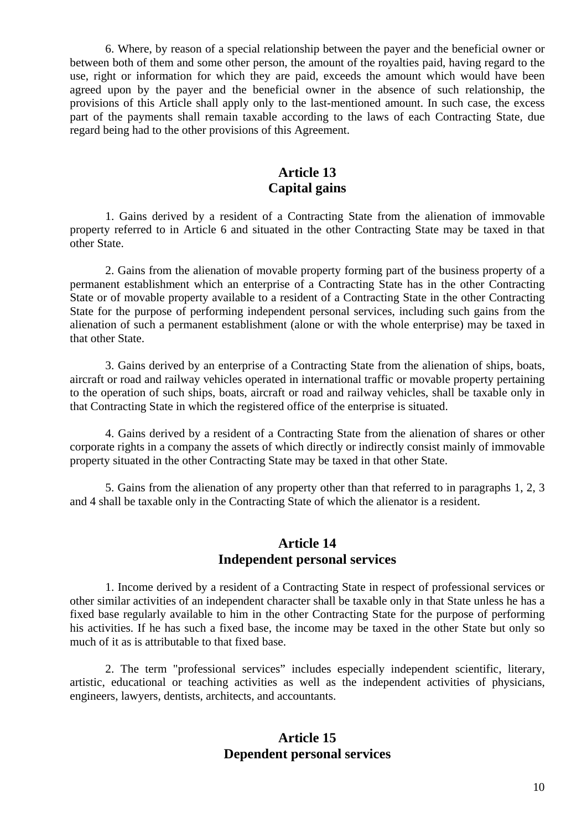6. Where, by reason of a special relationship between the payer and the beneficial owner or between both of them and some other person, the amount of the royalties paid, having regard to the use, right or information for which they are paid, exceeds the amount which would have been agreed upon by the payer and the beneficial owner in the absence of such relationship, the provisions of this Article shall apply only to the last-mentioned amount. In such case, the excess part of the payments shall remain taxable according to the laws of each Contracting State, due regard being had to the other provisions of this Agreement.

#### **Article 13 Capital gains**

1. Gains derived by a resident of a Contracting State from the alienation of immovable property referred to in Article 6 and situated in the other Contracting State may be taxed in that other State.

2. Gains from the alienation of movable property forming part of the business property of a permanent establishment which an enterprise of a Contracting State has in the other Contracting State or of movable property available to a resident of a Contracting State in the other Contracting State for the purpose of performing independent personal services, including such gains from the alienation of such a permanent establishment (alone or with the whole enterprise) may be taxed in that other State.

3. Gains derived by an enterprise of a Contracting State from the alienation of ships, boats, aircraft or road and railway vehicles operated in international traffic or movable property pertaining to the operation of such ships, boats, aircraft or road and railway vehicles, shall be taxable only in that Contracting State in which the registered office of the enterprise is situated.

4. Gains derived by a resident of a Contracting State from the alienation of shares or other corporate rights in a company the assets of which directly or indirectly consist mainly of immovable property situated in the other Contracting State may be taxed in that other State.

5. Gains from the alienation of any property other than that referred to in paragraphs 1, 2, 3 and 4 shall be taxable only in the Contracting State of which the alienator is a resident.

### **Article 14 Independent personal services**

1. Income derived by a resident of a Contracting State in respect of professional services or other similar activities of an independent character shall be taxable only in that State unless he has a fixed base regularly available to him in the other Contracting State for the purpose of performing his activities. If he has such a fixed base, the income may be taxed in the other State but only so much of it as is attributable to that fixed base.

2. The term "professional services" includes especially independent scientific, literary, artistic, educational or teaching activities as well as the independent activities of physicians, engineers, lawyers, dentists, architects, and accountants.

### **Article 15 Dependent personal services**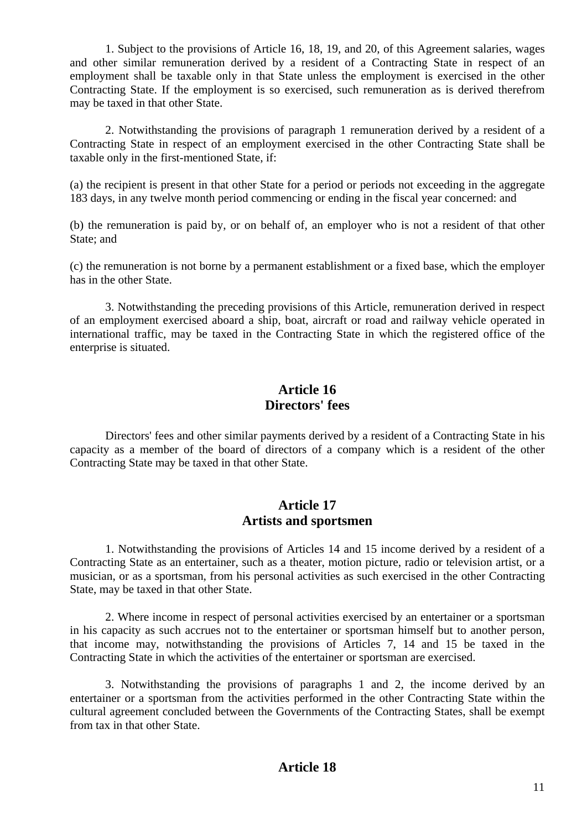1. Subject to the provisions of Article 16, 18, 19, and 20, of this Agreement salaries, wages and other similar remuneration derived by a resident of a Contracting State in respect of an employment shall be taxable only in that State unless the employment is exercised in the other Contracting State. If the employment is so exercised, such remuneration as is derived therefrom may be taxed in that other State.

2. Notwithstanding the provisions of paragraph 1 remuneration derived by a resident of a Contracting State in respect of an employment exercised in the other Contracting State shall be taxable only in the first-mentioned State, if:

(a) the recipient is present in that other State for a period or periods not exceeding in the aggregate 183 days, in any twelve month period commencing or ending in the fiscal year concerned: and

(b) the remuneration is paid by, or on behalf of, an employer who is not a resident of that other State; and

(c) the remuneration is not borne by a permanent establishment or a fixed base, which the employer has in the other State.

3. Notwithstanding the preceding provisions of this Article, remuneration derived in respect of an employment exercised aboard a ship, boat, aircraft or road and railway vehicle operated in international traffic, may be taxed in the Contracting State in which the registered office of the enterprise is situated.

#### **Article 16 Directors' fees**

Directors' fees and other similar payments derived by a resident of a Contracting State in his capacity as a member of the board of directors of a company which is a resident of the other Contracting State may be taxed in that other State.

### **Article 17 Artists and sportsmen**

1. Notwithstanding the provisions of Articles 14 and 15 income derived by a resident of a Contracting State as an entertainer, such as a theater, motion picture, radio or television artist, or a musician, or as a sportsman, from his personal activities as such exercised in the other Contracting State, may be taxed in that other State.

2. Where income in respect of personal activities exercised by an entertainer or a sportsman in his capacity as such accrues not to the entertainer or sportsman himself but to another person, that income may, notwithstanding the provisions of Articles 7, 14 and 15 be taxed in the Contracting State in which the activities of the entertainer or sportsman are exercised.

3. Notwithstanding the provisions of paragraphs 1 and 2, the income derived by an entertainer or a sportsman from the activities performed in the other Contracting State within the cultural agreement concluded between the Governments of the Contracting States, shall be exempt from tax in that other State.

#### **Article 18**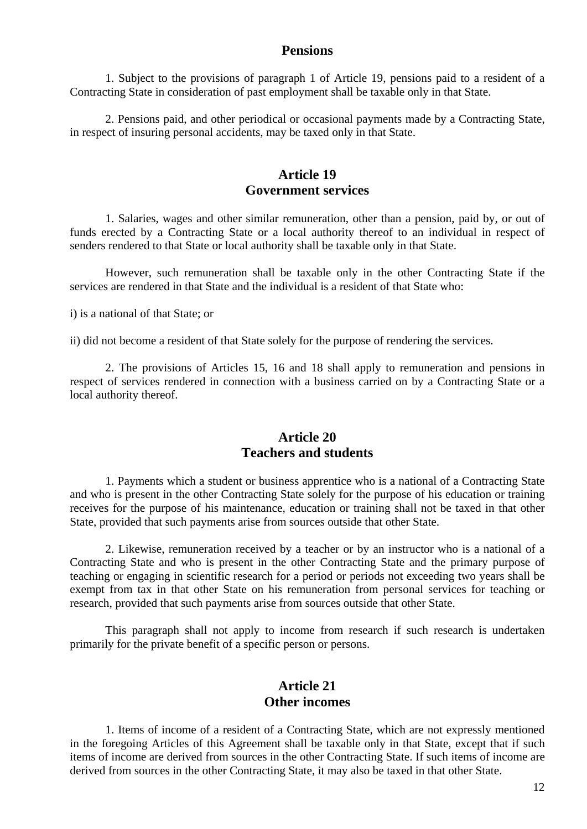#### **Pensions**

1. Subject to the provisions of paragraph 1 of Article 19, pensions paid to a resident of a Contracting State in consideration of past employment shall be taxable only in that State.

2. Pensions paid, and other periodical or occasional payments made by a Contracting State, in respect of insuring personal accidents, may be taxed only in that State.

#### **Article 19 Government services**

1. Salaries, wages and other similar remuneration, other than a pension, paid by, or out of funds erected by a Contracting State or a local authority thereof to an individual in respect of senders rendered to that State or local authority shall be taxable only in that State.

However, such remuneration shall be taxable only in the other Contracting State if the services are rendered in that State and the individual is a resident of that State who:

i) is a national of that State; or

ii) did not become a resident of that State solely for the purpose of rendering the services.

2. The provisions of Articles 15, 16 and 18 shall apply to remuneration and pensions in respect of services rendered in connection with a business carried on by a Contracting State or a local authority thereof.

#### **Article 20 Teachers and students**

1. Payments which a student or business apprentice who is a national of a Contracting State and who is present in the other Contracting State solely for the purpose of his education or training receives for the purpose of his maintenance, education or training shall not be taxed in that other State, provided that such payments arise from sources outside that other State.

2. Likewise, remuneration received by a teacher or by an instructor who is a national of a Contracting State and who is present in the other Contracting State and the primary purpose of teaching or engaging in scientific research for a period or periods not exceeding two years shall be exempt from tax in that other State on his remuneration from personal services for teaching or research, provided that such payments arise from sources outside that other State.

This paragraph shall not apply to income from research if such research is undertaken primarily for the private benefit of a specific person or persons.

#### **Article 21 Other incomes**

1. Items of income of a resident of a Contracting State, which are not expressly mentioned in the foregoing Articles of this Agreement shall be taxable only in that State, except that if such items of income are derived from sources in the other Contracting State. If such items of income are derived from sources in the other Contracting State, it may also be taxed in that other State.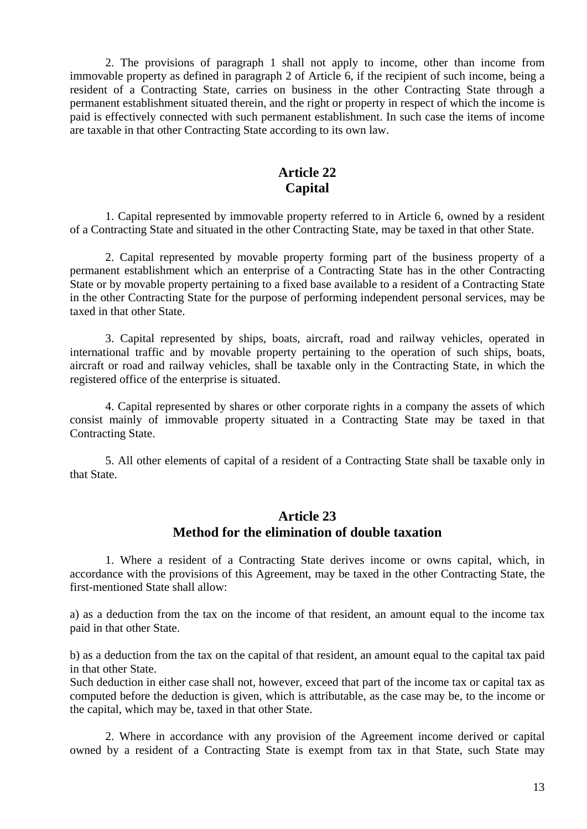2. The provisions of paragraph 1 shall not apply to income, other than income from immovable property as defined in paragraph 2 of Article 6, if the recipient of such income, being a resident of a Contracting State, carries on business in the other Contracting State through a permanent establishment situated therein, and the right or property in respect of which the income is paid is effectively connected with such permanent establishment. In such case the items of income are taxable in that other Contracting State according to its own law.

### **Article 22 Capital**

1. Capital represented by immovable property referred to in Article 6, owned by a resident of a Contracting State and situated in the other Contracting State, may be taxed in that other State.

2. Capital represented by movable property forming part of the business property of a permanent establishment which an enterprise of a Contracting State has in the other Contracting State or by movable property pertaining to a fixed base available to a resident of a Contracting State in the other Contracting State for the purpose of performing independent personal services, may be taxed in that other State.

3. Capital represented by ships, boats, aircraft, road and railway vehicles, operated in international traffic and by movable property pertaining to the operation of such ships, boats, aircraft or road and railway vehicles, shall be taxable only in the Contracting State, in which the registered office of the enterprise is situated.

4. Capital represented by shares or other corporate rights in a company the assets of which consist mainly of immovable property situated in a Contracting State may be taxed in that Contracting State.

5. All other elements of capital of a resident of a Contracting State shall be taxable only in that State.

### **Article 23 Method for the elimination of double taxation**

1. Where a resident of a Contracting State derives income or owns capital, which, in accordance with the provisions of this Agreement, may be taxed in the other Contracting State, the first-mentioned State shall allow:

a) as a deduction from the tax on the income of that resident, an amount equal to the income tax paid in that other State.

b) as a deduction from the tax on the capital of that resident, an amount equal to the capital tax paid in that other State.

Such deduction in either case shall not, however, exceed that part of the income tax or capital tax as computed before the deduction is given, which is attributable, as the case may be, to the income or the capital, which may be, taxed in that other State.

2. Where in accordance with any provision of the Agreement income derived or capital owned by a resident of a Contracting State is exempt from tax in that State, such State may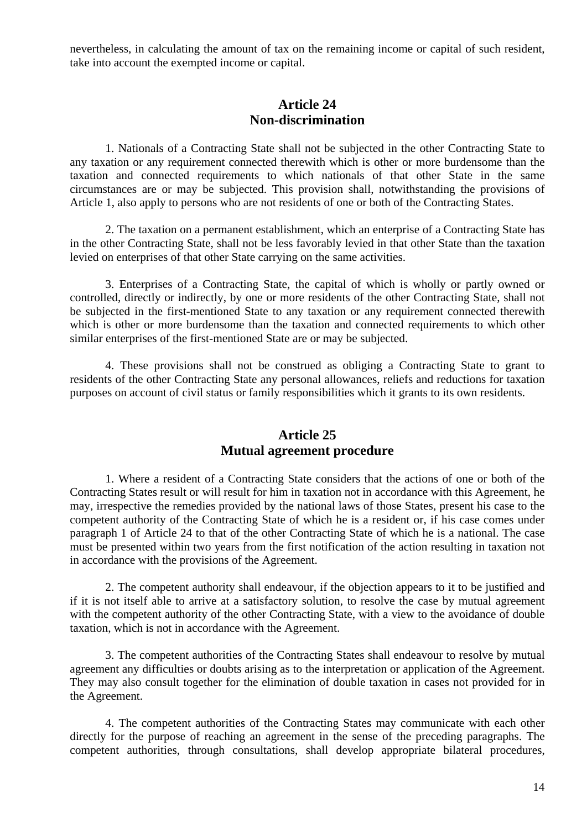nevertheless, in calculating the amount of tax on the remaining income or capital of such resident, take into account the exempted income or capital.

#### **Article 24 Non-discrimination**

1. Nationals of a Contracting State shall not be subjected in the other Contracting State to any taxation or any requirement connected therewith which is other or more burdensome than the taxation and connected requirements to which nationals of that other State in the same circumstances are or may be subjected. This provision shall, notwithstanding the provisions of Article 1, also apply to persons who are not residents of one or both of the Contracting States.

2. The taxation on a permanent establishment, which an enterprise of a Contracting State has in the other Contracting State, shall not be less favorably levied in that other State than the taxation levied on enterprises of that other State carrying on the same activities.

3. Enterprises of a Contracting State, the capital of which is wholly or partly owned or controlled, directly or indirectly, by one or more residents of the other Contracting State, shall not be subjected in the first-mentioned State to any taxation or any requirement connected therewith which is other or more burdensome than the taxation and connected requirements to which other similar enterprises of the first-mentioned State are or may be subjected.

4. These provisions shall not be construed as obliging a Contracting State to grant to residents of the other Contracting State any personal allowances, reliefs and reductions for taxation purposes on account of civil status or family responsibilities which it grants to its own residents.

#### **Article 25 Mutual agreement procedure**

1. Where a resident of a Contracting State considers that the actions of one or both of the Contracting States result or will result for him in taxation not in accordance with this Agreement, he may, irrespective the remedies provided by the national laws of those States, present his case to the competent authority of the Contracting State of which he is a resident or, if his case comes under paragraph 1 of Article 24 to that of the other Contracting State of which he is a national. The case must be presented within two years from the first notification of the action resulting in taxation not in accordance with the provisions of the Agreement.

2. The competent authority shall endeavour, if the objection appears to it to be justified and if it is not itself able to arrive at a satisfactory solution, to resolve the case by mutual agreement with the competent authority of the other Contracting State, with a view to the avoidance of double taxation, which is not in accordance with the Agreement.

3. The competent authorities of the Contracting States shall endeavour to resolve by mutual agreement any difficulties or doubts arising as to the interpretation or application of the Agreement. They may also consult together for the elimination of double taxation in cases not provided for in the Agreement.

4. The competent authorities of the Contracting States may communicate with each other directly for the purpose of reaching an agreement in the sense of the preceding paragraphs. The competent authorities, through consultations, shall develop appropriate bilateral procedures,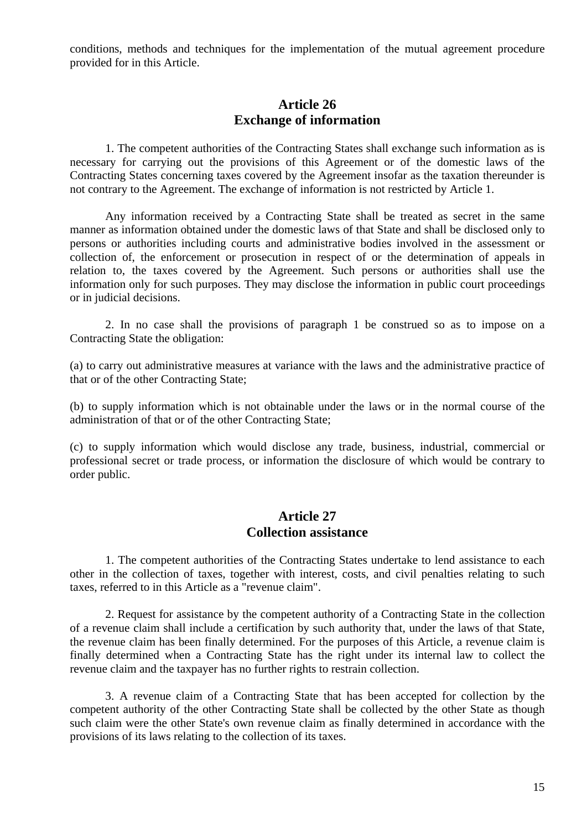conditions, methods and techniques for the implementation of the mutual agreement procedure provided for in this Article.

#### **Article 26 Exchange of information**

1. The competent authorities of the Contracting States shall exchange such information as is necessary for carrying out the provisions of this Agreement or of the domestic laws of the Contracting States concerning taxes covered by the Agreement insofar as the taxation thereunder is not contrary to the Agreement. The exchange of information is not restricted by Article 1.

Any information received by a Contracting State shall be treated as secret in the same manner as information obtained under the domestic laws of that State and shall be disclosed only to persons or authorities including courts and administrative bodies involved in the assessment or collection of, the enforcement or prosecution in respect of or the determination of appeals in relation to, the taxes covered by the Agreement. Such persons or authorities shall use the information only for such purposes. They may disclose the information in public court proceedings or in judicial decisions.

2. In no case shall the provisions of paragraph 1 be construed so as to impose on a Contracting State the obligation:

(a) to carry out administrative measures at variance with the laws and the administrative practice of that or of the other Contracting State;

(b) to supply information which is not obtainable under the laws or in the normal course of the administration of that or of the other Contracting State;

(c) to supply information which would disclose any trade, business, industrial, commercial or professional secret or trade process, or information the disclosure of which would be contrary to order public.

#### **Article 27 Collection assistance**

1. The competent authorities of the Contracting States undertake to lend assistance to each other in the collection of taxes, together with interest, costs, and civil penalties relating to such taxes, referred to in this Article as a "revenue claim".

2. Request for assistance by the competent authority of a Contracting State in the collection of a revenue claim shall include a certification by such authority that, under the laws of that State, the revenue claim has been finally determined. For the purposes of this Article, a revenue claim is finally determined when a Contracting State has the right under its internal law to collect the revenue claim and the taxpayer has no further rights to restrain collection.

3. A revenue claim of a Contracting State that has been accepted for collection by the competent authority of the other Contracting State shall be collected by the other State as though such claim were the other State's own revenue claim as finally determined in accordance with the provisions of its laws relating to the collection of its taxes.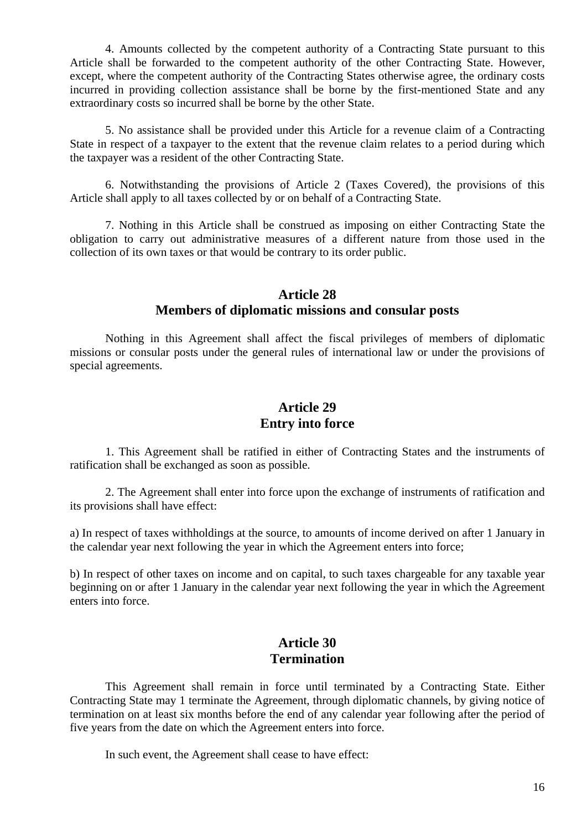4. Amounts collected by the competent authority of a Contracting State pursuant to this Article shall be forwarded to the competent authority of the other Contracting State. However, except, where the competent authority of the Contracting States otherwise agree, the ordinary costs incurred in providing collection assistance shall be borne by the first-mentioned State and any extraordinary costs so incurred shall be borne by the other State.

5. No assistance shall be provided under this Article for a revenue claim of a Contracting State in respect of a taxpayer to the extent that the revenue claim relates to a period during which the taxpayer was a resident of the other Contracting State.

6. Notwithstanding the provisions of Article 2 (Taxes Covered), the provisions of this Article shall apply to all taxes collected by or on behalf of a Contracting State.

7. Nothing in this Article shall be construed as imposing on either Contracting State the obligation to carry out administrative measures of a different nature from those used in the collection of its own taxes or that would be contrary to its order public.

#### **Article 28 Members of diplomatic missions and consular posts**

Nothing in this Agreement shall affect the fiscal privileges of members of diplomatic missions or consular posts under the general rules of international law or under the provisions of special agreements.

# **Article 29 Entry into force**

1. This Agreement shall be ratified in either of Contracting States and the instruments of ratification shall be exchanged as soon as possible.

2. The Agreement shall enter into force upon the exchange of instruments of ratification and its provisions shall have effect:

a) In respect of taxes withholdings at the source, to amounts of income derived on after 1 January in the calendar year next following the year in which the Agreement enters into force;

b) In respect of other taxes on income and on capital, to such taxes chargeable for any taxable year beginning on or after 1 January in the calendar year next following the year in which the Agreement enters into force.

#### **Article 30 Termination**

This Agreement shall remain in force until terminated by a Contracting State. Either Contracting State may 1 terminate the Agreement, through diplomatic channels, by giving notice of termination on at least six months before the end of any calendar year following after the period of five years from the date on which the Agreement enters into force.

In such event, the Agreement shall cease to have effect: